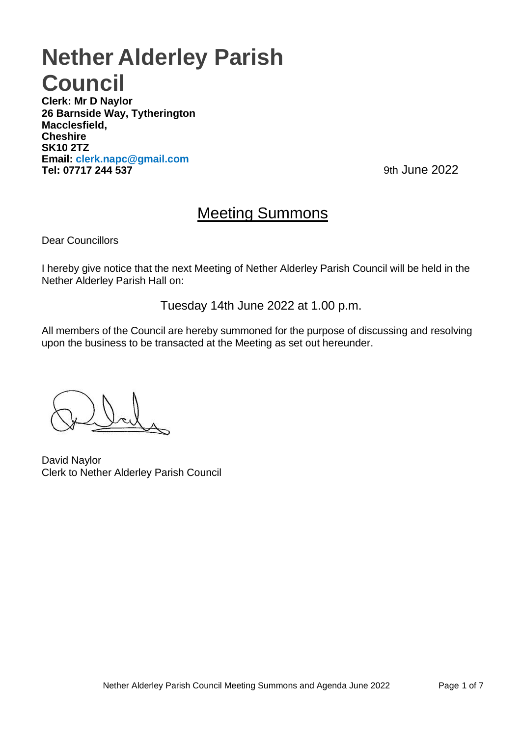# **Nether Alderley Parish Council**

**Clerk: Mr D Naylor 26 Barnside Way, Tytherington Macclesfield, Cheshire SK10 2TZ Email: [clerk.napc@gmail.com](mailto:clerk.napc@gmail.com) Tel: 07717 244 537** 9th June 2022

# Meeting Summons

Dear Councillors

I hereby give notice that the next Meeting of Nether Alderley Parish Council will be held in the Nether Alderley Parish Hall on:

Tuesday 14th June 2022 at 1.00 p.m.

All members of the Council are hereby summoned for the purpose of discussing and resolving upon the business to be transacted at the Meeting as set out hereunder.

David Naylor Clerk to Nether Alderley Parish Council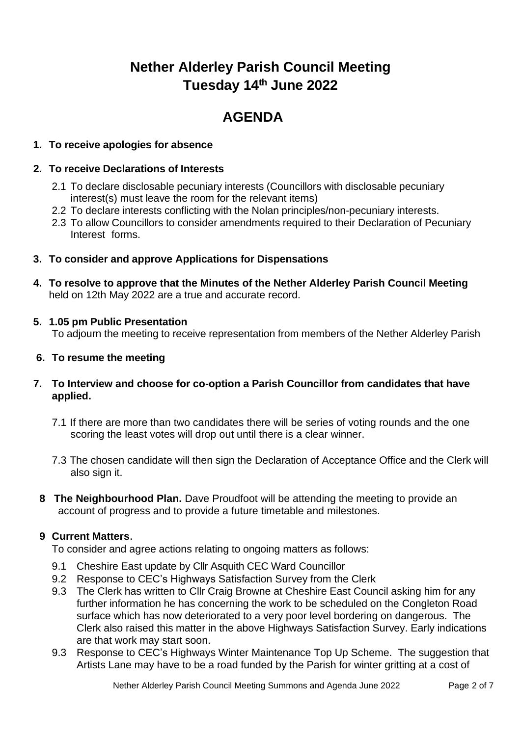# **Nether Alderley Parish Council Meeting Tuesday 14th June 2022**

# **AGENDA**

# **1. To receive apologies for absence**

## **2. To receive Declarations of Interests**

- 2.1 To declare disclosable pecuniary interests (Councillors with disclosable pecuniary interest(s) must leave the room for the relevant items)
- 2.2 To declare interests conflicting with the Nolan principles/non-pecuniary interests.
- 2.3 To allow Councillors to consider amendments required to their Declaration of Pecuniary Interest forms.
- **3. To consider and approve Applications for Dispensations**
- **4. To resolve to approve that the Minutes of the Nether Alderley Parish Council Meeting**  held on 12th May 2022 are a true and accurate record.

# **5. 1.05 pm Public Presentation**

To adjourn the meeting to receive representation from members of the Nether Alderley Parish

# **6. To resume the meeting**

- **7. To Interview and choose for co-option a Parish Councillor from candidates that have applied.**
	- 7.1 If there are more than two candidates there will be series of voting rounds and the one scoring the least votes will drop out until there is a clear winner.
	- 7.3 The chosen candidate will then sign the Declaration of Acceptance Office and the Clerk will also sign it.
	- **8 The Neighbourhood Plan.** Dave Proudfoot will be attending the meeting to provide an account of progress and to provide a future timetable and milestones.

# **9 Current Matters**.

To consider and agree actions relating to ongoing matters as follows:

- 9.1 Cheshire East update by Cllr Asquith CEC Ward Councillor
- 9.2 Response to CEC's Highways Satisfaction Survey from the Clerk
- 9.3 The Clerk has written to Cllr Craig Browne at Cheshire East Council asking him for any further information he has concerning the work to be scheduled on the Congleton Road surface which has now deteriorated to a very poor level bordering on dangerous. The Clerk also raised this matter in the above Highways Satisfaction Survey. Early indications are that work may start soon.
- 9.3 Response to CEC's Highways Winter Maintenance Top Up Scheme. The suggestion that Artists Lane may have to be a road funded by the Parish for winter gritting at a cost of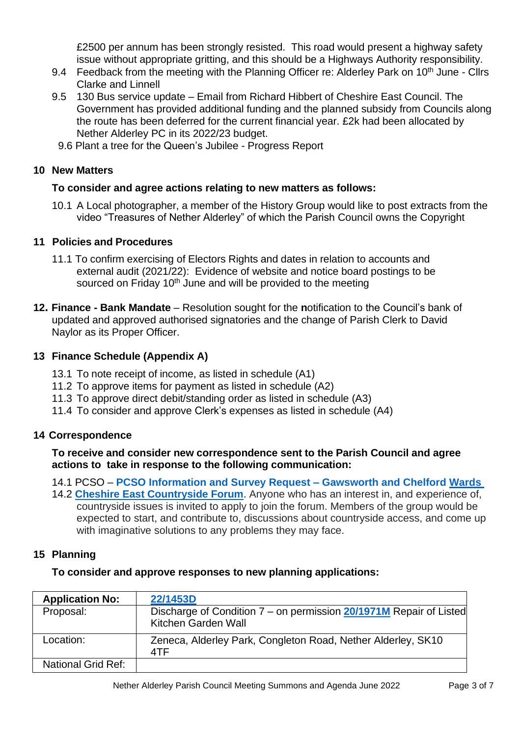£2500 per annum has been strongly resisted. This road would present a highway safety issue without appropriate gritting, and this should be a Highways Authority responsibility.

- 9.4 Feedback from the meeting with the Planning Officer re: Alderley Park on 10<sup>th</sup> June Cllrs Clarke and Linnell
- 9.5 130 Bus service update Email from Richard Hibbert of Cheshire East Council. The Government has provided additional funding and the planned subsidy from Councils along the route has been deferred for the current financial year. £2k had been allocated by Nether Alderley PC in its 2022/23 budget.
- 9.6 Plant a tree for the Queen's Jubilee Progress Report

## **10 New Matters**

# **To consider and agree actions relating to new matters as follows:**

10.1 A Local photographer, a member of the History Group would like to post extracts from the video "Treasures of Nether Alderley" of which the Parish Council owns the Copyright

# **11 Policies and Procedures**

- 11.1 To confirm exercising of Electors Rights and dates in relation to accounts and external audit (2021/22): Evidence of website and notice board postings to be sourced on Friday 10<sup>th</sup> June and will be provided to the meeting
- **12. Finance - Bank Mandate**  Resolution sought for the **n**otification to the Council's bank of updated and approved authorised signatories and the change of Parish Clerk to David Naylor as its Proper Officer.

# **13 Finance Schedule (Appendix A)**

- 13.1 To note receipt of income, as listed in schedule (A1)
- 11.2 To approve items for payment as listed in schedule (A2)
- 11.3 To approve direct debit/standing order as listed in schedule (A3)
- 11.4 To consider and approve Clerk's expenses as listed in schedule (A4)

# **14 Correspondence**

### **To receive and consider new correspondence sent to the Parish Council and agree actions to take in response to the following communication:**

14.1 PCSO – **[PCSO Information and Survey Request –](https://www.netheralderleyparish.com/latest-news/pcso-information-and-survey-request-gawsworth-and-chelford-wards) Gawsworth and Chelford Wards** 

14.2 **[Cheshire East Countryside Forum](https://www.cheshireeast.gov.uk/leisure,_culture_and_tourism/public_rights_of_way/countryside-access-forum.aspx)**. Anyone who has an interest in, and experience of, countryside issues is invited to apply to join the forum. Members of the group would be expected to start, and contribute to, discussions about countryside access, and come up with imaginative solutions to any problems they may face.

### **15 Planning**

### **To consider and approve responses to new planning applications:**

| <b>Application No:</b> | 22/1453D                                                                                  |
|------------------------|-------------------------------------------------------------------------------------------|
| Proposal:              | Discharge of Condition 7 – on permission 20/1971M Repair of Listed<br>Kitchen Garden Wall |
| Location:              | Zeneca, Alderley Park, Congleton Road, Nether Alderley, SK10<br>4TF                       |
| National Grid Ref:     |                                                                                           |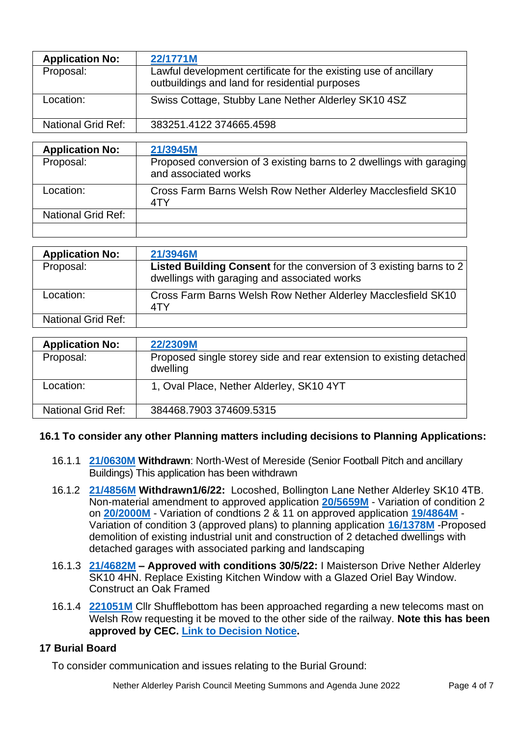| <b>Application No:</b>    | 22/1771M                                                                                                           |
|---------------------------|--------------------------------------------------------------------------------------------------------------------|
| Proposal:                 | Lawful development certificate for the existing use of ancillary<br>outbuildings and land for residential purposes |
| Location:                 | Swiss Cottage, Stubby Lane Nether Alderley SK10 4SZ                                                                |
| <b>National Grid Ref:</b> | 383251.4122 374665.4598                                                                                            |
|                           |                                                                                                                    |
| <b>Application No:</b>    | 21/3945M                                                                                                           |
| Proposal:                 | Proposed conversion of 3 existing barns to 2 dwellings with garaging<br>and associated works                       |
| cootion:                  | Cross Form Darna Waleb Dow Nather Alderlay Mesolastiald CK10                                                       |

| Location:                 | Cross Farm Barns Welsh Row Nether Alderley Macclesfield SK10 |
|---------------------------|--------------------------------------------------------------|
| <b>National Grid Ref:</b> |                                                              |
|                           |                                                              |

| <b>Application No:</b> | 21/3946M                                                                                                            |
|------------------------|---------------------------------------------------------------------------------------------------------------------|
| Proposal:              | Listed Building Consent for the conversion of 3 existing barns to 2<br>dwellings with garaging and associated works |
| Location:              | Cross Farm Barns Welsh Row Nether Alderley Macclesfield SK10<br>4TY                                                 |
| National Grid Ref:     |                                                                                                                     |

| <b>Application No:</b> | 22/2309M                                                                        |
|------------------------|---------------------------------------------------------------------------------|
| Proposal:              | Proposed single storey side and rear extension to existing detached<br>dwelling |
| Location:              | 1, Oval Place, Nether Alderley, SK10 4YT                                        |
| National Grid Ref:     | 384468.7903 374609.5315                                                         |

### **16.1 To consider any other Planning matters including decisions to Planning Applications:**

- 16.1.1 **[21/0630M](http://planning.cheshireeast.gov.uk/applicationdetails.aspx?pr=21/0630M&query=a3a18353-69f4-4dc3-8972-b82de83f0937) Withdrawn**: North-West of Mereside (Senior Football Pitch and ancillary Buildings) This application has been withdrawn
- 16.1.2 **[21/4856M](http://planning.cheshireeast.gov.uk/applicationdetails.aspx?pr=21/4856M&query=dbd32ffc-b460-41ca-8715-2f98336c21b7) Withdrawn1/6/22:** Locoshed, Bollington Lane Nether Alderley SK10 4TB. Non-material amendment to approved application **[20/5659M](http://planning.cheshireeast.gov.uk/applicationdetails.aspx?pr=20/5659M&query=b5361afc-0ec4-4e44-97a3-568d218a7ede)** - Variation of condition 2 on **[20/2000M](http://planning.cheshireeast.gov.uk/applicationdetails.aspx?pr=20/2000M&query=f11ff20e-39e5-43ce-9882-2226f60540bf)** - Variation of condtions 2 & 11 on approved application **[19/4864M](http://planning.cheshireeast.gov.uk/applicationdetails.aspx?pr=19/4864M&query=531ab302-8548-4e3b-a5da-a17a3603849a)** - Variation of condition 3 (approved plans) to planning application **[16/1378M](http://planning.cheshireeast.gov.uk/applicationdetails.aspx?pr=16/1378M&query=f3a6ca79-5dae-4c93-ae6b-f97a8c35bc23)** -Proposed demolition of existing industrial unit and construction of 2 detached dwellings with detached garages with associated parking and landscaping
- 16.1.3 **[21/4682M](http://planning.cheshireeast.gov.uk/applicationdetails.aspx?pr=21/4682M&query=8bfbe4a7-845a-4c7d-9a18-2c148307955d) – Approved with conditions 30/5/22:** I Maisterson Drive Nether Alderley SK10 4HN. Replace Existing Kitchen Window with a Glazed Oriel Bay Window. Construct an Oak Framed
- 16.1.4 **[221051M](http://planning.cheshireeast.gov.uk/applicationdetails.aspx?pr=22/1051M)** Cllr Shufflebottom has been approached regarding a new telecoms mast on Welsh Row requesting it be moved to the other side of the railway. **Note this has been approved by CEC. [Link to Decision Notice.](https://doc.cheshireeast.gov.uk/NorthgatePublicDocs/08389188.pdf)**

# **17 Burial Board**

To consider communication and issues relating to the Burial Ground: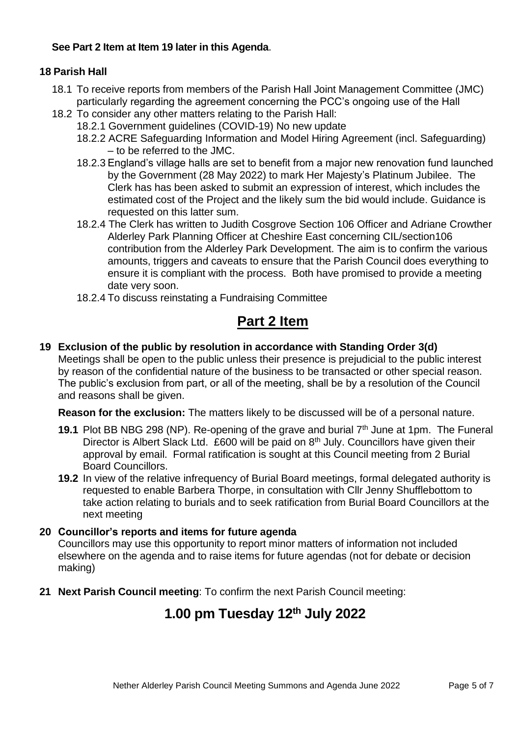# **See Part 2 Item at Item 19 later in this Agenda**.

# **18 Parish Hall**

- 18.1 To receive reports from members of the Parish Hall Joint Management Committee (JMC) particularly regarding the agreement concerning the PCC's ongoing use of the Hall
- 18.2 To consider any other matters relating to the Parish Hall:
	- 18.2.1 Government guidelines (COVID-19) No new update
	- 18.2.2 ACRE Safeguarding Information and Model Hiring Agreement (incl. Safeguarding) – to be referred to the JMC.
	- 18.2.3 England's village halls are set to benefit from a major new renovation fund launched by the Government (28 May 2022) to mark Her Majesty's Platinum Jubilee. The Clerk has has been asked to submit an expression of interest, which includes the estimated cost of the Project and the likely sum the bid would include. Guidance is requested on this latter sum.
	- 18.2.4 The Clerk has written to Judith Cosgrove Section 106 Officer and Adriane Crowther Alderley Park Planning Officer at Cheshire East concerning CIL/section106 contribution from the Alderley Park Development. The aim is to confirm the various amounts, triggers and caveats to ensure that the Parish Council does everything to ensure it is compliant with the process. Both have promised to provide a meeting date very soon.
	- 18.2.4 To discuss reinstating a Fundraising Committee

# **Part 2 Item**

# **19 Exclusion of the public by resolution in accordance with Standing Order 3(d)**

Meetings shall be open to the public unless their presence is prejudicial to the public interest by reason of the confidential nature of the business to be transacted or other special reason. The public's exclusion from part, or all of the meeting, shall be by a resolution of the Council and reasons shall be given.

**Reason for the exclusion:** The matters likely to be discussed will be of a personal nature.

- **19.1** Plot BB NBG 298 (NP). Re-opening of the grave and burial 7th June at 1pm. The Funeral Director is Albert Slack Ltd. £600 will be paid on 8<sup>th</sup> July. Councillors have given their approval by email. Formal ratification is sought at this Council meeting from 2 Burial Board Councillors.
- **19.2** In view of the relative infrequency of Burial Board meetings, formal delegated authority is requested to enable Barbera Thorpe, in consultation with Cllr Jenny Shufflebottom to take action relating to burials and to seek ratification from Burial Board Councillors at the next meeting

### **20 Councillor's reports and items for future agenda**

Councillors may use this opportunity to report minor matters of information not included elsewhere on the agenda and to raise items for future agendas (not for debate or decision making)

**21 Next Parish Council meeting**: To confirm the next Parish Council meeting:

# **1.00 pm Tuesday 12th July 2022**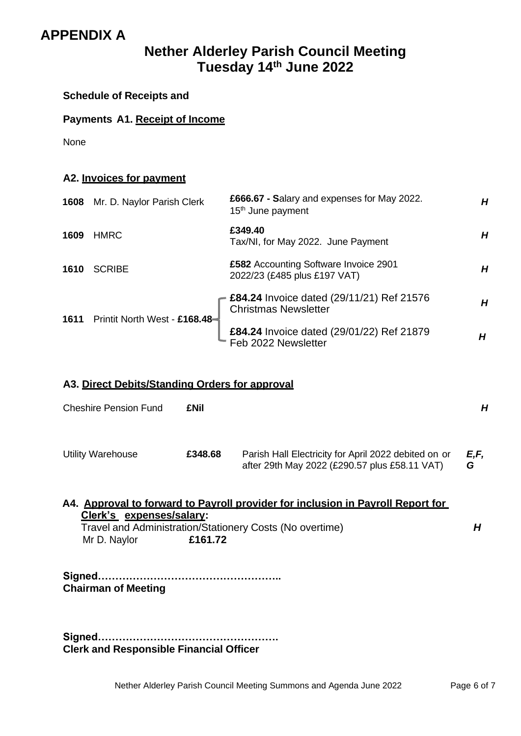# **APPENDIX A**

# **Nether Alderley Parish Council Meeting Tuesday 14th June 2022**

**Schedule of Receipts and**

# **Payments A1. Receipt of Income**

None

| A2. Invoices for payment |                               |                                                                              |   |
|--------------------------|-------------------------------|------------------------------------------------------------------------------|---|
| 1608                     | Mr. D. Naylor Parish Clerk    | £666.67 - Salary and expenses for May 2022.<br>15 <sup>th</sup> June payment | H |
| 1609                     | <b>HMRC</b>                   | £349.40<br>Tax/NI, for May 2022. June Payment                                | H |
| 1610                     | <b>SCRIBE</b>                 | £582 Accounting Software Invoice 2901<br>2022/23 (£485 plus £197 VAT)        | H |
| 1611                     | Printit North West - £168.48- | £84.24 Invoice dated (29/11/21) Ref 21576<br><b>Christmas Newsletter</b>     | H |
|                          |                               | £84.24 Invoice dated (29/01/22) Ref 21879<br>Feb 2022 Newsletter             | Н |

# **A3. Direct Debits/Standing Orders for approval**

| <b>Cheshire Pension Fund</b>             | <b>£Nil</b> |                                                                                                                                             | Н         |
|------------------------------------------|-------------|---------------------------------------------------------------------------------------------------------------------------------------------|-----------|
| <b>Utility Warehouse</b>                 | £348.68     | Parish Hall Electricity for April 2022 debited on or<br>after 29th May 2022 (£290.57 plus £58.11 VAT)                                       | E,F,<br>G |
| Clerk's expenses/salary:<br>Mr D. Naylor | £161.72     | A4. Approval to forward to Payroll provider for inclusion in Payroll Report for<br>Travel and Administration/Stationery Costs (No overtime) | Н         |
| <b>Chairman of Meeting</b>               |             |                                                                                                                                             |           |

**Signed……………………………………………. Clerk and Responsible Financial Officer**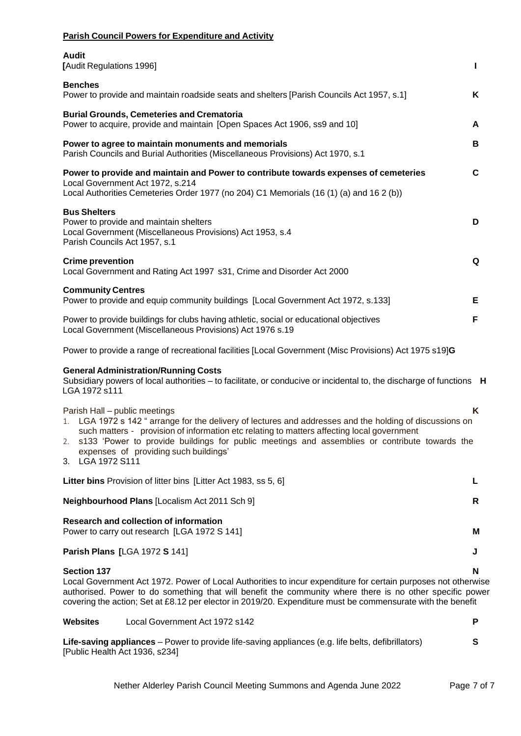| <b>Parish Council Powers for Expenditure and Activity</b>                                                                                                                                                                                                                                                                                                                                                      |   |
|----------------------------------------------------------------------------------------------------------------------------------------------------------------------------------------------------------------------------------------------------------------------------------------------------------------------------------------------------------------------------------------------------------------|---|
| <b>Audit</b><br>[Audit Regulations 1996]                                                                                                                                                                                                                                                                                                                                                                       | п |
| <b>Benches</b><br>Power to provide and maintain roadside seats and shelters [Parish Councils Act 1957, s.1]                                                                                                                                                                                                                                                                                                    | K |
| <b>Burial Grounds, Cemeteries and Crematoria</b><br>Power to acquire, provide and maintain [Open Spaces Act 1906, ss9 and 10]                                                                                                                                                                                                                                                                                  | A |
| Power to agree to maintain monuments and memorials<br>Parish Councils and Burial Authorities (Miscellaneous Provisions) Act 1970, s.1                                                                                                                                                                                                                                                                          | в |
| Power to provide and maintain and Power to contribute towards expenses of cemeteries<br>Local Government Act 1972, s.214<br>Local Authorities Cemeteries Order 1977 (no 204) C1 Memorials (16 (1) (a) and 16 2 (b))                                                                                                                                                                                            | C |
| <b>Bus Shelters</b><br>Power to provide and maintain shelters<br>Local Government (Miscellaneous Provisions) Act 1953, s.4<br>Parish Councils Act 1957, s.1                                                                                                                                                                                                                                                    | D |
| <b>Crime prevention</b><br>Local Government and Rating Act 1997 s31, Crime and Disorder Act 2000                                                                                                                                                                                                                                                                                                               | Q |
| <b>Community Centres</b><br>Power to provide and equip community buildings [Local Government Act 1972, s.133]                                                                                                                                                                                                                                                                                                  | Е |
| Power to provide buildings for clubs having athletic, social or educational objectives<br>Local Government (Miscellaneous Provisions) Act 1976 s.19                                                                                                                                                                                                                                                            | F |
| Power to provide a range of recreational facilities [Local Government (Misc Provisions) Act 1975 s19]G                                                                                                                                                                                                                                                                                                         |   |
| <b>General Administration/Running Costs</b><br>Subsidiary powers of local authorities – to facilitate, or conducive or incidental to, the discharge of functions H<br>LGA 1972 s111                                                                                                                                                                                                                            |   |
| Parish Hall - public meetings<br>1. LGA 1972 s 142 " arrange for the delivery of lectures and addresses and the holding of discussions on<br>such matters - provision of information etc relating to matters affecting local government<br>s133 'Power to provide buildings for public meetings and assemblies or contribute towards the<br>2.<br>expenses of providing such buildings'<br>LGA 1972 S111<br>3. | Κ |
| Litter bins Provision of litter bins [Litter Act 1983, ss 5, 6]                                                                                                                                                                                                                                                                                                                                                | L |
| Neighbourhood Plans [Localism Act 2011 Sch 9]                                                                                                                                                                                                                                                                                                                                                                  | R |
| <b>Research and collection of information</b><br>Power to carry out research [LGA 1972 S 141]                                                                                                                                                                                                                                                                                                                  | М |
| <b>Parish Plans [LGA 1972 S 141]</b>                                                                                                                                                                                                                                                                                                                                                                           | J |
| <b>Section 137</b>                                                                                                                                                                                                                                                                                                                                                                                             | N |
| Local Government Act 1972. Power of Local Authorities to incur expenditure for certain purposes not otherwise<br>authorised. Power to do something that will benefit the community where there is no other specific power<br>covering the action; Set at £8.12 per elector in 2019/20. Expenditure must be commensurate with the benefit                                                                       |   |
| <b>Websites</b><br>Local Government Act 1972 s142                                                                                                                                                                                                                                                                                                                                                              | P |

| Life-saving appliances – Power to provide life-saving appliances (e.g. life belts, defibrillators) |  |
|----------------------------------------------------------------------------------------------------|--|
| [Public Health Act 1936, s234]                                                                     |  |

Nether Alderley Parish Council Meeting Summons and Agenda June 2022 Page 7 of 7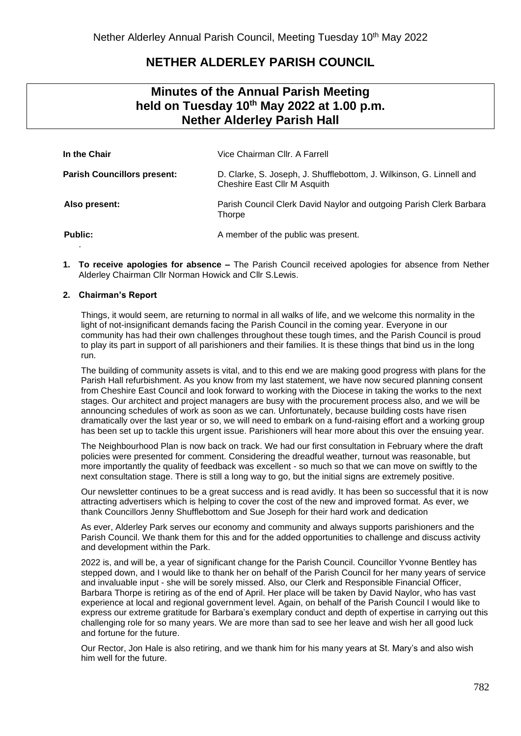# **NETHER ALDERLEY PARISH COUNCIL**

# **Minutes of the Annual Parish Meeting held on Tuesday 10th May 2022 at 1.00 p.m. Nether Alderley Parish Hall**

| In the Chair                       | Vice Chairman Cllr. A Farrell                                                                        |
|------------------------------------|------------------------------------------------------------------------------------------------------|
| <b>Parish Councillors present:</b> | D. Clarke, S. Joseph, J. Shufflebottom, J. Wilkinson, G. Linnell and<br>Cheshire East Cllr M Asquith |
| Also present:                      | Parish Council Clerk David Naylor and outgoing Parish Clerk Barbara<br><b>Thorpe</b>                 |
| <b>Public:</b>                     | A member of the public was present.                                                                  |

**1. To receive apologies for absence –** The Parish Council received apologies for absence from Nether Alderley Chairman Cllr Norman Howick and Cllr S.Lewis.

#### **2. Chairman's Report**

Things, it would seem, are returning to normal in all walks of life, and we welcome this normality in the light of not-insignificant demands facing the Parish Council in the coming year. Everyone in our community has had their own challenges throughout these tough times, and the Parish Council is proud to play its part in support of all parishioners and their families. It is these things that bind us in the long run.

The building of community assets is vital, and to this end we are making good progress with plans for the Parish Hall refurbishment. As you know from my last statement, we have now secured planning consent from Cheshire East Council and look forward to working with the Diocese in taking the works to the next stages. Our architect and project managers are busy with the procurement process also, and we will be announcing schedules of work as soon as we can. Unfortunately, because building costs have risen dramatically over the last year or so, we will need to embark on a fund-raising effort and a working group has been set up to tackle this urgent issue. Parishioners will hear more about this over the ensuing year.

The Neighbourhood Plan is now back on track. We had our first consultation in February where the draft policies were presented for comment. Considering the dreadful weather, turnout was reasonable, but more importantly the quality of feedback was excellent - so much so that we can move on swiftly to the next consultation stage. There is still a long way to go, but the initial signs are extremely positive.

Our newsletter continues to be a great success and is read avidly. It has been so successful that it is now attracting advertisers which is helping to cover the cost of the new and improved format. As ever, we thank Councillors Jenny Shufflebottom and Sue Joseph for their hard work and dedication

As ever, Alderley Park serves our economy and community and always supports parishioners and the Parish Council. We thank them for this and for the added opportunities to challenge and discuss activity and development within the Park.

2022 is, and will be, a year of significant change for the Parish Council. Councillor Yvonne Bentley has stepped down, and I would like to thank her on behalf of the Parish Council for her many years of service and invaluable input - she will be sorely missed. Also, our Clerk and Responsible Financial Officer, Barbara Thorpe is retiring as of the end of April. Her place will be taken by David Naylor, who has vast experience at local and regional government level. Again, on behalf of the Parish Council I would like to express our extreme gratitude for Barbara's exemplary conduct and depth of expertise in carrying out this challenging role for so many years. We are more than sad to see her leave and wish her all good luck and fortune for the future.

Our Rector, Jon Hale is also retiring, and we thank him for his many years at St. Mary's and also wish him well for the future.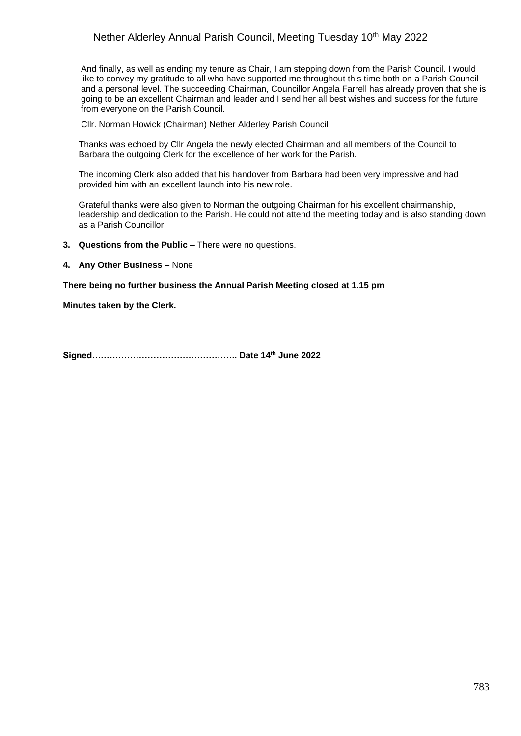### Nether Alderley Annual Parish Council, Meeting Tuesday 10<sup>th</sup> May 2022

And finally, as well as ending my tenure as Chair, I am stepping down from the Parish Council. I would like to convey my gratitude to all who have supported me throughout this time both on a Parish Council and a personal level. The succeeding Chairman, Councillor Angela Farrell has already proven that she is going to be an excellent Chairman and leader and I send her all best wishes and success for the future from everyone on the Parish Council.

Cllr. Norman Howick (Chairman) Nether Alderley Parish Council

Thanks was echoed by Cllr Angela the newly elected Chairman and all members of the Council to Barbara the outgoing Clerk for the excellence of her work for the Parish.

The incoming Clerk also added that his handover from Barbara had been very impressive and had provided him with an excellent launch into his new role.

Grateful thanks were also given to Norman the outgoing Chairman for his excellent chairmanship, leadership and dedication to the Parish. He could not attend the meeting today and is also standing down as a Parish Councillor.

- **3. Questions from the Public –** There were no questions.
- **4. Any Other Business –** None

#### **There being no further business the Annual Parish Meeting closed at 1.15 pm**

**Minutes taken by the Clerk.**

**Signed………………………………………….. Date 14th June 2022**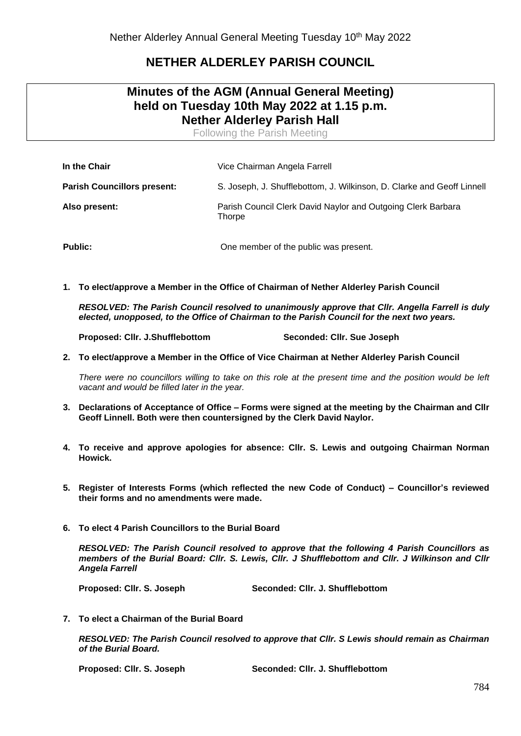# **NETHER ALDERLEY PARISH COUNCIL**

# **Minutes of the AGM (Annual General Meeting) held on Tuesday 10th May 2022 at 1.15 p.m. Nether Alderley Parish Hall**

Following the Parish Meeting

| In the Chair                       | Vice Chairman Angela Farrell                                           |  |
|------------------------------------|------------------------------------------------------------------------|--|
| <b>Parish Councillors present:</b> | S. Joseph, J. Shufflebottom, J. Wilkinson, D. Clarke and Geoff Linnell |  |
| Also present:                      | Parish Council Clerk David Naylor and Outgoing Clerk Barbara<br>Thorpe |  |
| <b>Public:</b>                     | One member of the public was present.                                  |  |

**1. To elect/approve a Member in the Office of Chairman of Nether Alderley Parish Council**

*RESOLVED: The Parish Council resolved to unanimously approve that Cllr. Angella Farrell is duly elected, unopposed, to the Office of Chairman to the Parish Council for the next two years.*

**Proposed: Cllr. J.Shufflebottom Seconded: Cllr. Sue Joseph**

**2. To elect/approve a Member in the Office of Vice Chairman at Nether Alderley Parish Council**

*There were no councillors willing to take on this role at the present time and the position would be left vacant and would be filled later in the year.*

- **3. Declarations of Acceptance of Office – Forms were signed at the meeting by the Chairman and Cllr Geoff Linnell. Both were then countersigned by the Clerk David Naylor.**
- **4. To receive and approve apologies for absence: Cllr. S. Lewis and outgoing Chairman Norman Howick.**
- **5. Register of Interests Forms (which reflected the new Code of Conduct) – Councillor's reviewed their forms and no amendments were made.**
- **6. To elect 4 Parish Councillors to the Burial Board**

*RESOLVED: The Parish Council resolved to approve that the following 4 Parish Councillors as members of the Burial Board: Cllr. S. Lewis, Cllr. J Shufflebottom and Cllr. J Wilkinson and Cllr Angela Farrell*

**Proposed: Cllr. S. Joseph Seconded: Cllr. J. Shufflebottom**

**7. To elect a Chairman of the Burial Board**

*RESOLVED: The Parish Council resolved to approve that Cllr. S Lewis should remain as Chairman of the Burial Board.*

**Proposed: Cllr. S. Joseph Seconded: Cllr. J. Shufflebottom**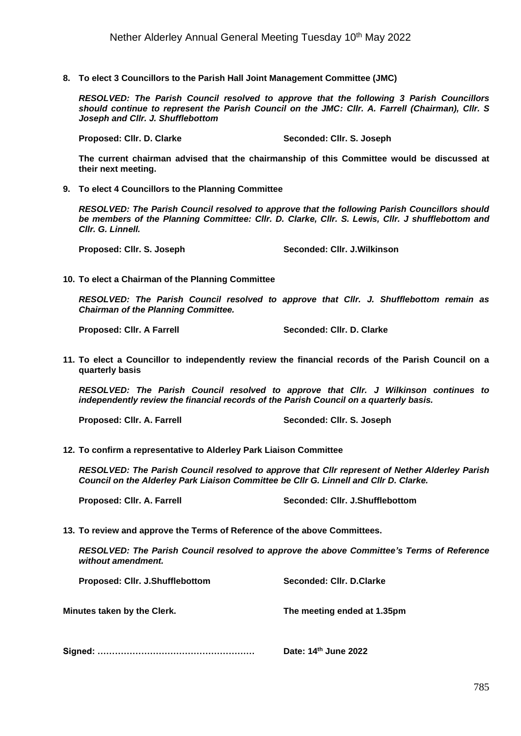**8. To elect 3 Councillors to the Parish Hall Joint Management Committee (JMC)**

*RESOLVED: The Parish Council resolved to approve that the following 3 Parish Councillors should continue to represent the Parish Council on the JMC: Cllr. A. Farrell (Chairman), Cllr. S Joseph and Cllr. J. Shufflebottom* 

**Proposed: Cllr. D. Clarke Seconded: Cllr. S. Joseph**

**The current chairman advised that the chairmanship of this Committee would be discussed at their next meeting.**

**9. To elect 4 Councillors to the Planning Committee**

*RESOLVED: The Parish Council resolved to approve that the following Parish Councillors should be members of the Planning Committee: Cllr. D. Clarke, Cllr. S. Lewis, Cllr. J shufflebottom and Cllr. G. Linnell.*

**Proposed: Cllr. S. Joseph Seconded: Cllr. J.Wilkinson**

**10. To elect a Chairman of the Planning Committee**

*RESOLVED: The Parish Council resolved to approve that Cllr. J. Shufflebottom remain as Chairman of the Planning Committee.*

Proposed: Cllr. A Farrell Seconded: Cllr. D. Clarke

**11. To elect a Councillor to independently review the financial records of the Parish Council on a quarterly basis**

*RESOLVED: The Parish Council resolved to approve that Cllr. J Wilkinson continues to independently review the financial records of the Parish Council on a quarterly basis.*

**Proposed: Cllr. A. Farrell Seconded: Cllr. S. Joseph**

**12. To confirm a representative to Alderley Park Liaison Committee**

*RESOLVED: The Parish Council resolved to approve that Cllr represent of Nether Alderley Parish Council on the Alderley Park Liaison Committee be Cllr G. Linnell and Cllr D. Clarke.*

**Proposed: Cllr. A. Farrell Seconded: Cllr. J.Shufflebottom**

**13. To review and approve the Terms of Reference of the above Committees.**

*RESOLVED: The Parish Council resolved to approve the above Committee's Terms of Reference without amendment.*

| Proposed: Cllr. J.Shufflebottom | Seconded: Cllr. D.Clarke    |
|---------------------------------|-----------------------------|
| Minutes taken by the Clerk.     | The meeting ended at 1.35pm |
|                                 |                             |

**Signed: ……………………………………………… Date: 14th June 2022**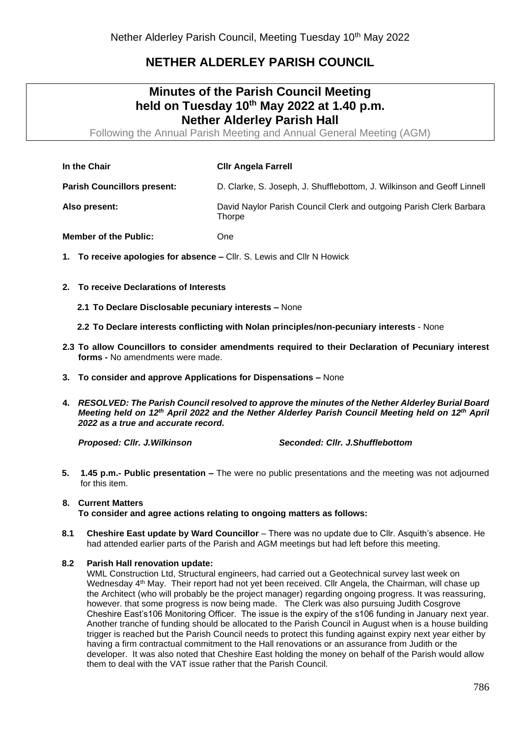# **NETHER ALDERLEY PARISH COUNCIL**

# **Minutes of the Parish Council Meeting held on Tuesday 10th May 2022 at 1.40 p.m. Nether Alderley Parish Hall**

Following the Annual Parish Meeting and Annual General Meeting (AGM)

| In the Chair                       | <b>CIIr Angela Farrell</b>                                                    |
|------------------------------------|-------------------------------------------------------------------------------|
| <b>Parish Councillors present:</b> | D. Clarke, S. Joseph, J. Shufflebottom, J. Wilkinson and Geoff Linnell        |
| Also present:                      | David Naylor Parish Council Clerk and outgoing Parish Clerk Barbara<br>Thorpe |

**Member of the Public:** One

- **1. To receive apologies for absence –** Cllr. S. Lewis and Cllr N Howick
- **2. To receive Declarations of Interests** 
	- **2.1 To Declare Disclosable pecuniary interests –** None
	- **2.2 To Declare interests conflicting with Nolan principles/non-pecuniary interests** None
- **2.3 To allow Councillors to consider amendments required to their Declaration of Pecuniary interest forms -** No amendments were made.
- **3. To consider and approve Applications for Dispensations –** None
- **4.** *RESOLVED: The Parish Council resolved to approve the minutes of the Nether Alderley Burial Board Meeting held on 12th April 2022 and the Nether Alderley Parish Council Meeting held on 12th April 2022 as a true and accurate record.*

*Proposed: Cllr. J.Wilkinson Seconded: Cllr. J.Shufflebottom*

**5. 1.45 p.m.- Public presentation –** The were no public presentations and the meeting was not adjourned for this item.

#### **8. Current Matters To consider and agree actions relating to ongoing matters as follows:**

**8.1 Cheshire East update by Ward Councillor** – There was no update due to Cllr. Asquith's absence. He had attended earlier parts of the Parish and AGM meetings but had left before this meeting.

### **8.2 Parish Hall renovation update:**

WML Construction Ltd, Structural engineers, had carried out a Geotechnical survey last week on Wednesday 4<sup>th</sup> May. Their report had not yet been received. Cllr Angela, the Chairman, will chase up the Architect (who will probably be the project manager) regarding ongoing progress. It was reassuring, however. that some progress is now being made. The Clerk was also pursuing Judith Cosgrove Cheshire East's106 Monitoring Officer. The issue is the expiry of the s106 funding in January next year. Another tranche of funding should be allocated to the Parish Council in August when is a house building trigger is reached but the Parish Council needs to protect this funding against expiry next year either by having a firm contractual commitment to the Hall renovations or an assurance from Judith or the developer. It was also noted that Cheshire East holding the money on behalf of the Parish would allow them to deal with the VAT issue rather that the Parish Council.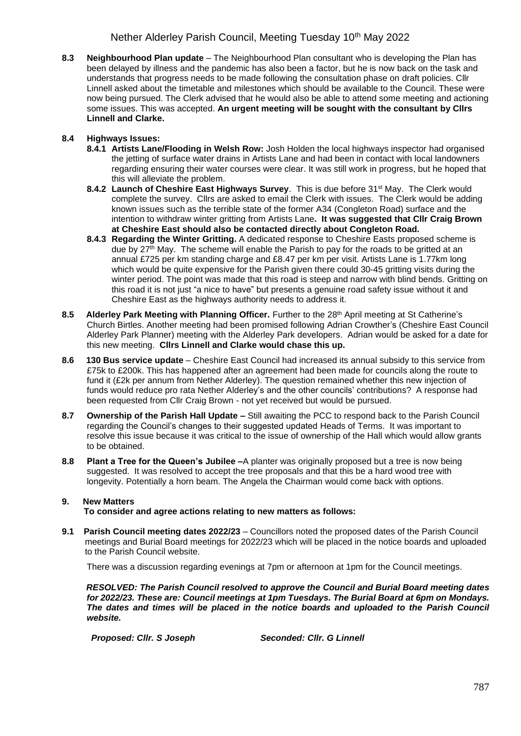### Nether Alderley Parish Council, Meeting Tuesday 10<sup>th</sup> May 2022

**8.3 Neighbourhood Plan update** – The Neighbourhood Plan consultant who is developing the Plan has been delayed by illness and the pandemic has also been a factor, but he is now back on the task and understands that progress needs to be made following the consultation phase on draft policies. Cllr Linnell asked about the timetable and milestones which should be available to the Council. These were now being pursued. The Clerk advised that he would also be able to attend some meeting and actioning some issues. This was accepted. **An urgent meeting will be sought with the consultant by Cllrs Linnell and Clarke.**

### **8.4 Highways Issues:**

- **8.4.1 Artists Lane/Flooding in Welsh Row:** Josh Holden the local highways inspector had organised the jetting of surface water drains in Artists Lane and had been in contact with local landowners regarding ensuring their water courses were clear. It was still work in progress, but he hoped that this will alleviate the problem.
- **8.4.2 Launch of Cheshire East Highways Survey**. This is due before 31st May. The Clerk would complete the survey. Cllrs are asked to email the Clerk with issues. The Clerk would be adding known issues such as the terrible state of the former A34 (Congleton Road) surface and the intention to withdraw winter gritting from Artists Lane**. It was suggested that Cllr Craig Brown at Cheshire East should also be contacted directly about Congleton Road.**
- **8.4.3 Regarding the Winter Gritting.** A dedicated response to Cheshire Easts proposed scheme is due by  $27<sup>th</sup>$  May. The scheme will enable the Parish to pay for the roads to be gritted at an annual £725 per km standing charge and £8.47 per km per visit. Artists Lane is 1.77km long which would be quite expensive for the Parish given there could 30-45 gritting visits during the winter period. The point was made that this road is steep and narrow with blind bends. Gritting on this road it is not just "a nice to have" but presents a genuine road safety issue without it and Cheshire East as the highways authority needs to address it.
- 8.5 Alderley Park Meeting with Planning Officer. Further to the 28<sup>th</sup> April meeting at St Catherine's Church Birtles. Another meeting had been promised following Adrian Crowther's (Cheshire East Council Alderley Park Planner) meeting with the Alderley Park developers. Adrian would be asked for a date for this new meeting. **Cllrs Linnell and Clarke would chase this up.**
- **8.6 130 Bus service update** Cheshire East Council had increased its annual subsidy to this service from £75k to £200k. This has happened after an agreement had been made for councils along the route to fund it (£2k per annum from Nether Alderley). The question remained whether this new injection of funds would reduce pro rata Nether Alderley's and the other councils' contributions? A response had been requested from Cllr Craig Brown - not yet received but would be pursued.
- **8.7 Ownership of the Parish Hall Update –** Still awaiting the PCC to respond back to the Parish Council regarding the Council's changes to their suggested updated Heads of Terms. It was important to resolve this issue because it was critical to the issue of ownership of the Hall which would allow grants to be obtained.
- **8.8 Plant a Tree for the Queen's Jubilee –**A planter was originally proposed but a tree is now being suggested. It was resolved to accept the tree proposals and that this be a hard wood tree with longevity. Potentially a horn beam. The Angela the Chairman would come back with options.

#### **9. New Matters To consider and agree actions relating to new matters as follows:**

**9.1 Parish Council meeting dates 2022/23** – Councillors noted the proposed dates of the Parish Council meetings and Burial Board meetings for 2022/23 which will be placed in the notice boards and uploaded to the Parish Council website.

There was a discussion regarding evenings at 7pm or afternoon at 1pm for the Council meetings.

 *RESOLVED: The Parish Council resolved to approve the Council and Burial Board meeting dates for 2022/23. These are: Council meetings at 1pm Tuesdays. The Burial Board at 6pm on Mondays. The dates and times will be placed in the notice boards and uploaded to the Parish Council website.*

 *Proposed: Cllr. S Joseph Seconded: Cllr. G Linnell*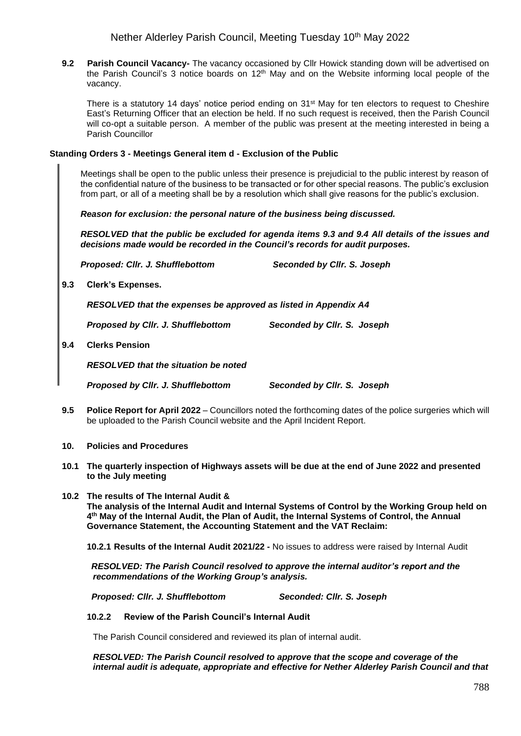**9.2 Parish Council Vacancy-** The vacancy occasioned by Cllr Howick standing down will be advertised on the Parish Council's 3 notice boards on  $12<sup>th</sup>$  May and on the Website informing local people of the vacancy.

There is a statutory 14 days' notice period ending on 31<sup>st</sup> May for ten electors to request to Cheshire East's Returning Officer that an election be held. If no such request is received, then the Parish Council will co-opt a suitable person. A member of the public was present at the meeting interested in being a Parish Councillor

#### **Standing Orders 3 - Meetings General item d - Exclusion of the Public**

Meetings shall be open to the public unless their presence is prejudicial to the public interest by reason of the confidential nature of the business to be transacted or for other special reasons. The public's exclusion from part, or all of a meeting shall be by a resolution which shall give reasons for the public's exclusion.

*Reason for exclusion: the personal nature of the business being discussed.* 

*RESOLVED that the public be excluded for agenda items 9.3 and 9.4 All details of the issues and decisions made would be recorded in the Council's records for audit purposes.*

*Proposed: Cllr. J. Shufflebottom Seconded by Cllr. S. Joseph*

**9.3 Clerk's Expenses.** 

*RESOLVED that the expenses be approved as listed in Appendix A4*

*Proposed by Cllr. J. Shufflebottom Seconded by Cllr. S. Joseph*

**9.4 Clerks Pension**

*RESOLVED that the situation be noted*

*Proposed by Cllr. J. Shufflebottom Seconded by Cllr. S. Joseph* 

- **9.5 Police Report for April 2022** Councillors noted the forthcoming dates of the police surgeries which will be uploaded to the Parish Council website and the April Incident Report.
- **10. Policies and Procedures**
- **10.1 The quarterly inspection of Highways assets will be due at the end of June 2022 and presented to the July meeting**
- **10.2 The results of The Internal Audit & The analysis of the Internal Audit and Internal Systems of Control by the Working Group held on 4 th May of the Internal Audit, the Plan of Audit, the Internal Systems of Control, the Annual Governance Statement, the Accounting Statement and the VAT Reclaim:**

**10.2.1 Results of the Internal Audit 2021/22 -** No issues to address were raised by Internal Audit

 *RESOLVED: The Parish Council resolved to approve the internal auditor's report and the recommendations of the Working Group's analysis.* 

 *Proposed: Cllr. J. Shufflebottom Seconded: Cllr. S. Joseph*

### **10.2.2 Review of the Parish Council's Internal Audit**

The Parish Council considered and reviewed its plan of internal audit.

*RESOLVED: The Parish Council resolved to approve that the scope and coverage of the internal audit is adequate, appropriate and effective for Nether Alderley Parish Council and that*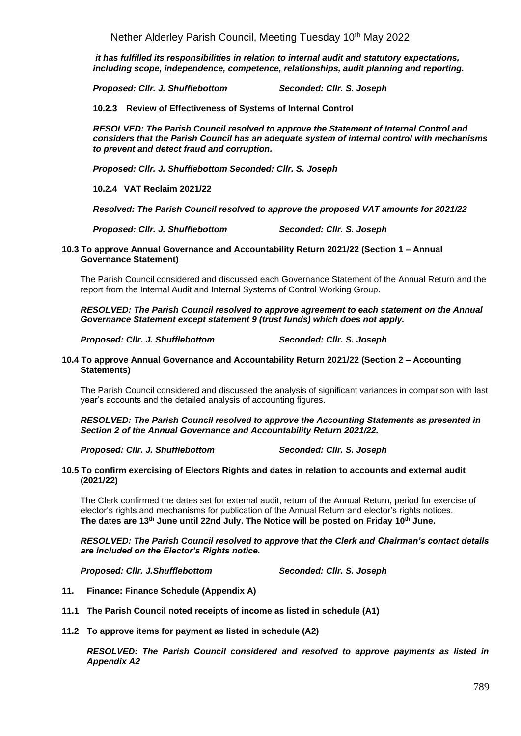Nether Alderley Parish Council, Meeting Tuesday 10<sup>th</sup> May 2022

*it has fulfilled its responsibilities in relation to internal audit and statutory expectations, including scope, independence, competence, relationships, audit planning and reporting.*

*Proposed: Cllr. J. Shufflebottom Seconded: Cllr. S. Joseph*

**10.2.3 Review of Effectiveness of Systems of Internal Control**

*RESOLVED: The Parish Council resolved to approve the Statement of Internal Control and considers that the Parish Council has an adequate system of internal control with mechanisms to prevent and detect fraud and corruption.*

*Proposed: Cllr. J. Shufflebottom Seconded: Cllr. S. Joseph*

**10.2.4 VAT Reclaim 2021/22**

*Resolved: The Parish Council resolved to approve the proposed VAT amounts for 2021/22*

*Proposed: Cllr. J. Shufflebottom Seconded: Cllr. S. Joseph*

**10.3 To approve Annual Governance and Accountability Return 2021/22 (Section 1 – Annual Governance Statement)**

The Parish Council considered and discussed each Governance Statement of the Annual Return and the report from the Internal Audit and Internal Systems of Control Working Group.

*RESOLVED: The Parish Council resolved to approve agreement to each statement on the Annual Governance Statement except statement 9 (trust funds) which does not apply.*

*Proposed: Cllr. J. Shufflebottom Seconded: Cllr. S. Joseph*

#### **10.4 To approve Annual Governance and Accountability Return 2021/22 (Section 2 – Accounting Statements)**

The Parish Council considered and discussed the analysis of significant variances in comparison with last year's accounts and the detailed analysis of accounting figures.

*RESOLVED: The Parish Council resolved to approve the Accounting Statements as presented in Section 2 of the Annual Governance and Accountability Return 2021/22.*

*Proposed: Cllr. J. Shufflebottom Seconded: Cllr. S. Joseph*

#### **10.5 To confirm exercising of Electors Rights and dates in relation to accounts and external audit (2021/22)**

The Clerk confirmed the dates set for external audit, return of the Annual Return, period for exercise of elector's rights and mechanisms for publication of the Annual Return and elector's rights notices. **The dates are 13th June until 22nd July. The Notice will be posted on Friday 10th June.**

*RESOLVED: The Parish Council resolved to approve that the Clerk and Chairman's contact details are included on the Elector's Rights notice.*

*Proposed: Cllr. J.Shufflebottom Seconded: Cllr. S. Joseph*

- **11. Finance: Finance Schedule (Appendix A)**
- **11.1 The Parish Council noted receipts of income as listed in schedule (A1)**
- **11.2 To approve items for payment as listed in schedule (A2)**

*RESOLVED: The Parish Council considered and resolved to approve payments as listed in Appendix A2*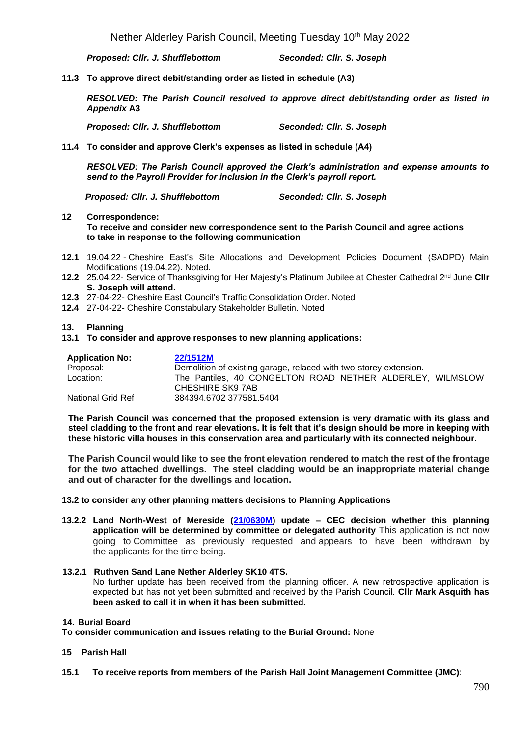*Proposed: Cllr. J. Shufflebottom Seconded: Cllr. S. Joseph*

**11.3 To approve direct debit/standing order as listed in schedule (A3)**

*RESOLVED: The Parish Council resolved to approve direct debit/standing order as listed in Appendix* **A3**

*Proposed: Cllr. J. Shufflebottom Seconded: Cllr. S. Joseph*

**11.4 To consider and approve Clerk's expenses as listed in schedule (A4)**

*RESOLVED: The Parish Council approved the Clerk's administration and expense amounts to send to the Payroll Provider for inclusion in the Clerk's payroll report.*

 *Proposed: Cllr. J. Shufflebottom Seconded: Cllr. S. Joseph*

#### **12 Correspondence: To receive and consider new correspondence sent to the Parish Council and agree actions to take in response to the following communication**:

- **12.1** 19.04.22 Cheshire East's Site Allocations and Development Policies Document (SADPD) Main Modifications (19.04.22). Noted.
- 12.2 25.04.22- Service of Thanksgiving for Her Majesty's Platinum Jubilee at Chester Cathedral 2<sup>nd</sup> June Cllr **S. Joseph will attend.**
- **12.3** 27-04-22- Cheshire East Council's Traffic Consolidation Order. Noted
- **12.4** 27-04-22- Cheshire Constabulary Stakeholder Bulletin. Noted

### **13. Planning**

**13.1 To consider and approve responses to new planning applications:**

| <b>Application No:</b>   | 22/1512M                                                          |
|--------------------------|-------------------------------------------------------------------|
| Proposal:                | Demolition of existing garage, relaced with two-storey extension. |
| Location:                | The Pantiles, 40 CONGELTON ROAD NETHER ALDERLEY, WILMSLOW         |
|                          | CHESHIRE SK9 7AB                                                  |
| <b>National Grid Ref</b> | 384394.6702 377581.5404                                           |

**The Parish Council was concerned that the proposed extension is very dramatic with its glass and steel cladding to the front and rear elevations. It is felt that it's design should be more in keeping with these historic villa houses in this conservation area and particularly with its connected neighbour.**

**The Parish Council would like to see the front elevation rendered to match the rest of the frontage for the two attached dwellings. The steel cladding would be an inappropriate material change and out of character for the dwellings and location.**

### **13.2 to consider any other planning matters decisions to Planning Applications**

**13.2.2 Land North-West of Mereside [\(21/0630M\)](http://planning.cheshireeast.gov.uk/applicationdetails.aspx?pr=21/0630M) update – CEC decision whether this planning application will be determined by committee or delegated authority** This application is not now going to Committee as previously requested and appears to have been withdrawn by the applicants for the time being.

#### **13.2.1 Ruthven Sand Lane Nether Alderley SK10 4TS.**  No further update has been received from the planning officer. A new retrospective application is expected but has not yet been submitted and received by the Parish Council. **Cllr Mark Asquith has been asked to call it in when it has been submitted.**

### **14. Burial Board**

**To consider communication and issues relating to the Burial Ground:** None

### **15 Parish Hall**

**15.1 To receive reports from members of the Parish Hall Joint Management Committee (JMC)**: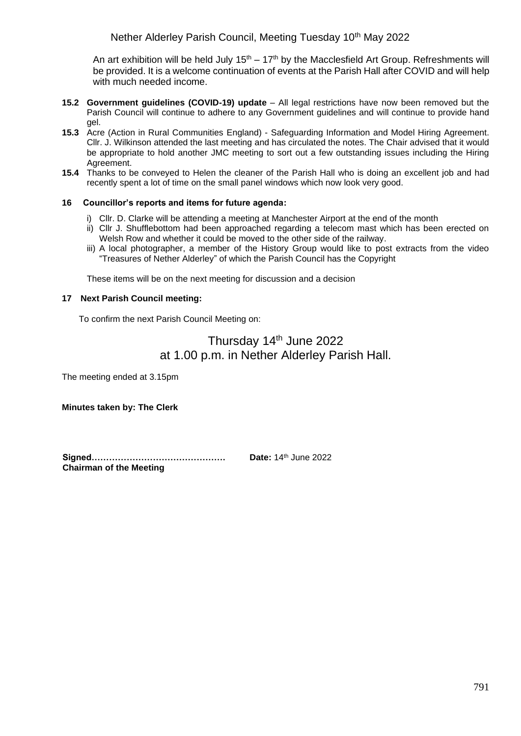An art exhibition will be held July  $15<sup>th</sup> - 17<sup>th</sup>$  by the Macclesfield Art Group. Refreshments will be provided. It is a welcome continuation of events at the Parish Hall after COVID and will help with much needed income.

- **15.2 Government guidelines (COVID-19) update**  All legal restrictions have now been removed but the Parish Council will continue to adhere to any Government guidelines and will continue to provide hand gel.
- **15.3** Acre (Action in Rural Communities England) Safeguarding Information and Model Hiring Agreement. Cllr. J. Wilkinson attended the last meeting and has circulated the notes. The Chair advised that it would be appropriate to hold another JMC meeting to sort out a few outstanding issues including the Hiring Agreement.
- **15.4** Thanks to be conveyed to Helen the cleaner of the Parish Hall who is doing an excellent job and had recently spent a lot of time on the small panel windows which now look very good.

### **16 Councillor's reports and items for future agenda:**

- i) Cllr. D. Clarke will be attending a meeting at Manchester Airport at the end of the month
- ii) Cllr J. Shufflebottom had been approached regarding a telecom mast which has been erected on Welsh Row and whether it could be moved to the other side of the railway.
- iii) A local photographer, a member of the History Group would like to post extracts from the video "Treasures of Nether Alderley" of which the Parish Council has the Copyright

These items will be on the next meeting for discussion and a decision

### **17 Next Parish Council meeting:**

To confirm the next Parish Council Meeting on:

# Thursday 14<sup>th</sup> June 2022 at 1.00 p.m. in Nether Alderley Parish Hall.

The meeting ended at 3.15pm

**Minutes taken by: The Clerk**

**Signed………………………………………. Date:** 14th June 2022 **Chairman of the Meeting**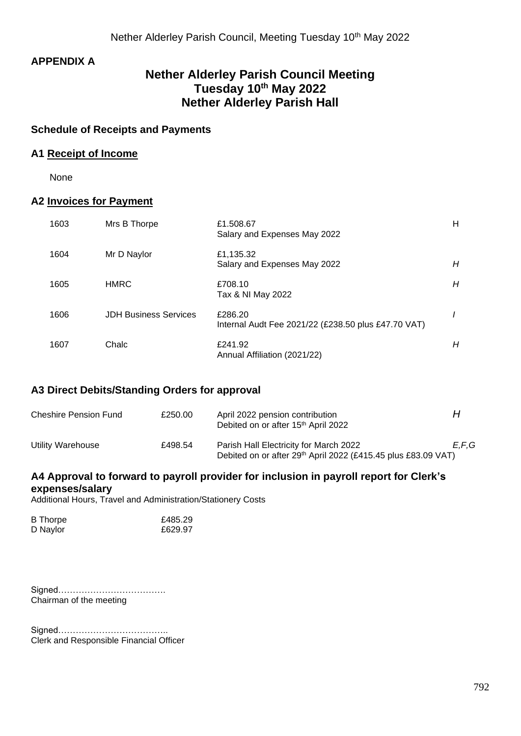# **APPENDIX A**

# **Nether Alderley Parish Council Meeting Tuesday 10th May 2022 Nether Alderley Parish Hall**

### **Schedule of Receipts and Payments**

### **A1 Receipt of Income**

None

### **A2 Invoices for Payment**

| 1603 | Mrs B Thorpe                 | £1.508.67<br>Salary and Expenses May 2022                      | н |
|------|------------------------------|----------------------------------------------------------------|---|
| 1604 | Mr D Naylor                  | £1,135.32<br>Salary and Expenses May 2022                      | H |
| 1605 | <b>HMRC</b>                  | £708.10<br>Tax & NI May 2022                                   | Н |
| 1606 | <b>JDH Business Services</b> | £286.20<br>Internal Audt Fee 2021/22 (£238.50 plus £47.70 VAT) |   |
| 1607 | Chalc                        | £241.92<br>Annual Affiliation (2021/22)                        | Н |

### **A3 Direct Debits/Standing Orders for approval**

| <b>Cheshire Pension Fund</b> | £250.00 | April 2022 pension contribution<br>Debited on or after 15 <sup>th</sup> April 2022                                  | н     |
|------------------------------|---------|---------------------------------------------------------------------------------------------------------------------|-------|
| Utility Warehouse            | £498.54 | Parish Hall Electricity for March 2022<br>Debited on or after 29 <sup>th</sup> April 2022 (£415.45 plus £83.09 VAT) | E.F.G |

### **A4 Approval to forward to payroll provider for inclusion in payroll report for Clerk's expenses/salary**

Additional Hours, Travel and Administration/Stationery Costs

| <b>B</b> Thorpe | £485.29 |
|-----------------|---------|
| D Naylor        | £629.97 |

Signed………………………………. Chairman of the meeting

Signed……………………………….. Clerk and Responsible Financial Officer